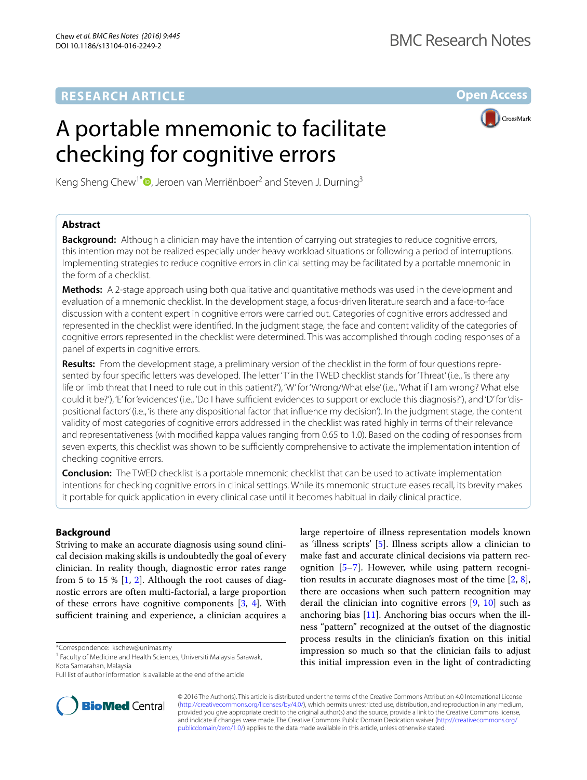# **RESEARCH ARTICLE**

**Open Access**

# A portable mnemonic to facilitate checking for cognitive errors



Keng Sheng Chew<sup>1\*</sup>®[,](http://orcid.org/0000-0002-6326-8210) Jeroen van Merriënboer<sup>2</sup> and Steven J. Durning<sup>3</sup>

# **Abstract**

**Background:** Although a clinician may have the intention of carrying out strategies to reduce cognitive errors, this intention may not be realized especially under heavy workload situations or following a period of interruptions. Implementing strategies to reduce cognitive errors in clinical setting may be facilitated by a portable mnemonic in the form of a checklist.

**Methods:** A 2-stage approach using both qualitative and quantitative methods was used in the development and evaluation of a mnemonic checklist. In the development stage, a focus-driven literature search and a face-to-face discussion with a content expert in cognitive errors were carried out. Categories of cognitive errors addressed and represented in the checklist were identified. In the judgment stage, the face and content validity of the categories of cognitive errors represented in the checklist were determined. This was accomplished through coding responses of a panel of experts in cognitive errors.

**Results:** From the development stage, a preliminary version of the checklist in the form of four questions represented by four specific letters was developed. The letter 'T' in the TWED checklist stands for 'Threat' (i.e., 'is there any life or limb threat that I need to rule out in this patient?'), 'W' for 'Wrong/What else' (i.e., 'What if I am wrong? What else could it be?'), 'E' for 'evidences' (i.e., 'Do I have sufficient evidences to support or exclude this diagnosis?'), and 'D' for 'dispositional factors' (i.e., 'is there any dispositional factor that influence my decision'). In the judgment stage, the content validity of most categories of cognitive errors addressed in the checklist was rated highly in terms of their relevance and representativeness (with modified kappa values ranging from 0.65 to 1.0). Based on the coding of responses from seven experts, this checklist was shown to be sufficiently comprehensive to activate the implementation intention of checking cognitive errors.

**Conclusion:** The TWED checklist is a portable mnemonic checklist that can be used to activate implementation intentions for checking cognitive errors in clinical settings. While its mnemonic structure eases recall, its brevity makes it portable for quick application in every clinical case until it becomes habitual in daily clinical practice.

# **Background**

Striving to make an accurate diagnosis using sound clinical decision making skills is undoubtedly the goal of every clinician. In reality though, diagnostic error rates range from 5 to 15 %  $[1, 2]$  $[1, 2]$  $[1, 2]$  $[1, 2]$ . Although the root causes of diagnostic errors are often multi-factorial, a large proportion of these errors have cognitive components [\[3](#page-7-2), [4](#page-7-3)]. With sufficient training and experience, a clinician acquires a

\*Correspondence: kschew@unimas.my

Full list of author information is available at the end of the article



large repertoire of illness representation models known as 'illness scripts' [[5\]](#page-7-4). Illness scripts allow a clinician to make fast and accurate clinical decisions via pattern recognition [\[5](#page-7-4)[–7\]](#page-7-5). However, while using pattern recognition results in accurate diagnoses most of the time [\[2](#page-7-1), [8](#page-7-6)], there are occasions when such pattern recognition may derail the clinician into cognitive errors [[9,](#page-7-7) [10\]](#page-7-8) such as anchoring bias  $[11]$  $[11]$  $[11]$ . Anchoring bias occurs when the illness "pattern" recognized at the outset of the diagnostic process results in the clinician's fixation on this initial impression so much so that the clinician fails to adjust this initial impression even in the light of contradicting

© 2016 The Author(s). This article is distributed under the terms of the Creative Commons Attribution 4.0 International License [\(http://creativecommons.org/licenses/by/4.0/\)](http://creativecommons.org/licenses/by/4.0/), which permits unrestricted use, distribution, and reproduction in any medium, provided you give appropriate credit to the original author(s) and the source, provide a link to the Creative Commons license, and indicate if changes were made. The Creative Commons Public Domain Dedication waiver ([http://creativecommons.org/](http://creativecommons.org/publicdomain/zero/1.0/) [publicdomain/zero/1.0/](http://creativecommons.org/publicdomain/zero/1.0/)) applies to the data made available in this article, unless otherwise stated.

<sup>&</sup>lt;sup>1</sup> Faculty of Medicine and Health Sciences, Universiti Malaysia Sarawak, Kota Samarahan, Malaysia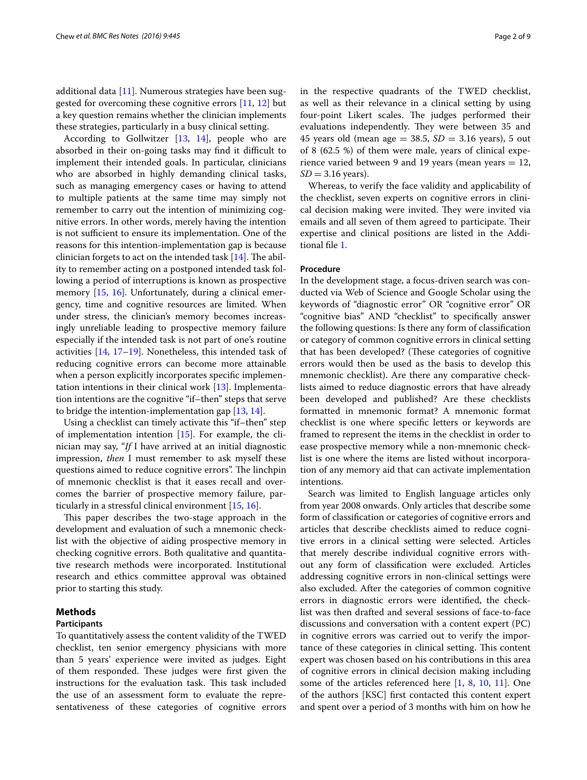additional data [[11\]](#page-7-9). Numerous strategies have been suggested for overcoming these cognitive errors [\[11](#page-7-9), [12\]](#page-7-10) but a key question remains whether the clinician implements these strategies, particularly in a busy clinical setting.

According to Gollwitzer [[13,](#page-7-11) [14\]](#page-7-12), people who are absorbed in their on-going tasks may find it difficult to implement their intended goals. In particular, clinicians who are absorbed in highly demanding clinical tasks, such as managing emergency cases or having to attend to multiple patients at the same time may simply not remember to carry out the intention of minimizing cognitive errors. In other words, merely having the intention is not sufficient to ensure its implementation. One of the reasons for this intention-implementation gap is because clinician forgets to act on the intended task [\[14](#page-7-12)]. The ability to remember acting on a postponed intended task following a period of interruptions is known as prospective memory [\[15,](#page-8-0) [16](#page-8-1)]. Unfortunately, during a clinical emergency, time and cognitive resources are limited. When under stress, the clinician's memory becomes increasingly unreliable leading to prospective memory failure especially if the intended task is not part of one's routine activities [\[14](#page-7-12), [17](#page-8-2)[–19](#page-8-3)]. Nonetheless, this intended task of reducing cognitive errors can become more attainable when a person explicitly incorporates specific implementation intentions in their clinical work [\[13](#page-7-11)]. Implementation intentions are the cognitive "if–then" steps that serve to bridge the intention-implementation gap [[13](#page-7-11), [14\]](#page-7-12).

Using a checklist can timely activate this "if–then" step of implementation intention [[15\]](#page-8-0). For example, the clinician may say, "*If* I have arrived at an initial diagnostic impression, *then* I must remember to ask myself these questions aimed to reduce cognitive errors". The linchpin of mnemonic checklist is that it eases recall and overcomes the barrier of prospective memory failure, particularly in a stressful clinical environment [\[15](#page-8-0), [16\]](#page-8-1).

This paper describes the two-stage approach in the development and evaluation of such a mnemonic checklist with the objective of aiding prospective memory in checking cognitive errors. Both qualitative and quantitative research methods were incorporated. Institutional research and ethics committee approval was obtained prior to starting this study.

#### **Methods**

#### **Participants**

To quantitatively assess the content validity of the TWED checklist, ten senior emergency physicians with more than 5 years' experience were invited as judges. Eight of them responded. These judges were first given the instructions for the evaluation task. This task included the use of an assessment form to evaluate the representativeness of these categories of cognitive errors in the respective quadrants of the TWED checklist, as well as their relevance in a clinical setting by using four-point Likert scales. The judges performed their evaluations independently. They were between 35 and 45 years old (mean age  $=$  38.5,  $SD = 3.16$  years), 5 out of 8 (62.5 %) of them were male, years of clinical experience varied between 9 and 19 years (mean years  $= 12$ ,  $SD = 3.16$  years).

Whereas, to verify the face validity and applicability of the checklist, seven experts on cognitive errors in clinical decision making were invited. They were invited via emails and all seven of them agreed to participate. Their expertise and clinical positions are listed in the Additional file [1](#page-7-13).

# **Procedure**

In the development stage, a focus-driven search was conducted via Web of Science and Google Scholar using the keywords of "diagnostic error" OR "cognitive error" OR "cognitive bias" AND "checklist" to specifically answer the following questions: Is there any form of classification or category of common cognitive errors in clinical setting that has been developed? (These categories of cognitive errors would then be used as the basis to develop this mnemonic checklist). Are there any comparative checklists aimed to reduce diagnostic errors that have already been developed and published? Are these checklists formatted in mnemonic format? A mnemonic format checklist is one where specific letters or keywords are framed to represent the items in the checklist in order to ease prospective memory while a non-mnemonic checklist is one where the items are listed without incorporation of any memory aid that can activate implementation intentions.

Search was limited to English language articles only from year 2008 onwards. Only articles that describe some form of classification or categories of cognitive errors and articles that describe checklists aimed to reduce cognitive errors in a clinical setting were selected. Articles that merely describe individual cognitive errors without any form of classification were excluded. Articles addressing cognitive errors in non-clinical settings were also excluded. After the categories of common cognitive errors in diagnostic errors were identified, the checklist was then drafted and several sessions of face-to-face discussions and conversation with a content expert (PC) in cognitive errors was carried out to verify the importance of these categories in clinical setting. This content expert was chosen based on his contributions in this area of cognitive errors in clinical decision making including some of the articles referenced here [\[1](#page-7-0), [8](#page-7-6), [10,](#page-7-8) [11\]](#page-7-9). One of the authors [KSC] first contacted this content expert and spent over a period of 3 months with him on how he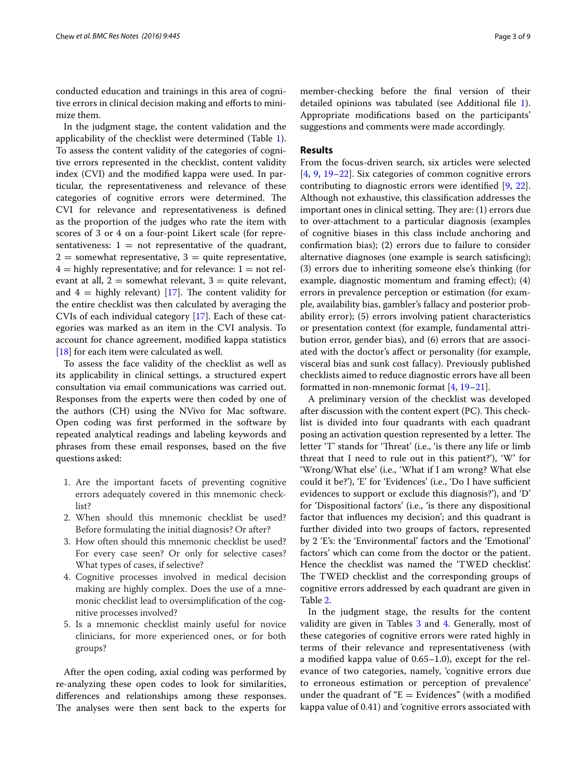conducted education and trainings in this area of cognitive errors in clinical decision making and efforts to minimize them.

In the judgment stage, the content validation and the applicability of the checklist were determined (Table [1](#page-3-0)). To assess the content validity of the categories of cognitive errors represented in the checklist, content validity index (CVI) and the modified kappa were used. In particular, the representativeness and relevance of these categories of cognitive errors were determined. The CVI for relevance and representativeness is defined as the proportion of the judges who rate the item with scores of 3 or 4 on a four-point Likert scale (for representativeness:  $1 = not representative of the quadrant,$  $2 =$  somewhat representative,  $3 =$  quite representative,  $4 =$  highly representative; and for relevance:  $1 =$  not relevant at all,  $2 =$  somewhat relevant,  $3 =$  quite relevant, and  $4 =$  highly relevant) [\[17\]](#page-8-2). The content validity for the entire checklist was then calculated by averaging the CVIs of each individual category [[17](#page-8-2)]. Each of these categories was marked as an item in the CVI analysis. To account for chance agreement, modified kappa statistics [[18\]](#page-8-4) for each item were calculated as well.

To assess the face validity of the checklist as well as its applicability in clinical settings, a structured expert consultation via email communications was carried out. Responses from the experts were then coded by one of the authors (CH) using the NVivo for Mac software. Open coding was first performed in the software by repeated analytical readings and labeling keywords and phrases from these email responses, based on the five questions asked:

- 1. Are the important facets of preventing cognitive errors adequately covered in this mnemonic checklist?
- 2. When should this mnemonic checklist be used? Before formulating the initial diagnosis? Or after?
- 3. How often should this mnemonic checklist be used? For every case seen? Or only for selective cases? What types of cases, if selective?
- 4. Cognitive processes involved in medical decision making are highly complex. Does the use of a mnemonic checklist lead to oversimplification of the cognitive processes involved?
- 5. Is a mnemonic checklist mainly useful for novice clinicians, for more experienced ones, or for both groups?

After the open coding, axial coding was performed by re-analyzing these open codes to look for similarities, differences and relationships among these responses. The analyses were then sent back to the experts for member-checking before the final version of their detailed opinions was tabulated (see Additional file [1](#page-7-13)). Appropriate modifications based on the participants' suggestions and comments were made accordingly.

# **Results**

From the focus-driven search, six articles were selected [[4,](#page-7-3) [9](#page-7-7), [19](#page-8-3)[–22](#page-8-5)]. Six categories of common cognitive errors contributing to diagnostic errors were identified [[9,](#page-7-7) [22](#page-8-5)]. Although not exhaustive, this classification addresses the important ones in clinical setting. They are: (1) errors due to over-attachment to a particular diagnosis (examples of cognitive biases in this class include anchoring and confirmation bias); (2) errors due to failure to consider alternative diagnoses (one example is search satisficing); (3) errors due to inheriting someone else's thinking (for example, diagnostic momentum and framing effect); (4) errors in prevalence perception or estimation (for example, availability bias, gambler's fallacy and posterior probability error); (5) errors involving patient characteristics or presentation context (for example, fundamental attribution error, gender bias), and (6) errors that are associated with the doctor's affect or personality (for example, visceral bias and sunk cost fallacy). Previously published checklists aimed to reduce diagnostic errors have all been formatted in non-mnemonic format [\[4](#page-7-3), [19–](#page-8-3)[21](#page-8-6)].

A preliminary version of the checklist was developed after discussion with the content expert (PC). This checklist is divided into four quadrants with each quadrant posing an activation question represented by a letter. The letter 'T' stands for 'Threat' (i.e., 'is there any life or limb threat that I need to rule out in this patient?'), 'W' for 'Wrong/What else' (i.e., 'What if I am wrong? What else could it be?'), 'E' for 'Evidences' (i.e., 'Do I have sufficient evidences to support or exclude this diagnosis?'), and 'D' for 'Dispositional factors' (i.e., 'is there any dispositional factor that influences my decision'; and this quadrant is further divided into two groups of factors, represented by 2 'E's: the 'Environmental' factors and the 'Emotional' factors' which can come from the doctor or the patient. Hence the checklist was named the 'TWED checklist'. The TWED checklist and the corresponding groups of cognitive errors addressed by each quadrant are given in Table [2](#page-4-0).

In the judgment stage, the results for the content validity are given in Tables [3](#page-5-0) and [4.](#page-5-1) Generally, most of these categories of cognitive errors were rated highly in terms of their relevance and representativeness (with a modified kappa value of 0.65–1.0), except for the relevance of two categories, namely, 'cognitive errors due to erroneous estimation or perception of prevalence' under the quadrant of " $E =$  Evidences" (with a modified kappa value of 0.41) and 'cognitive errors associated with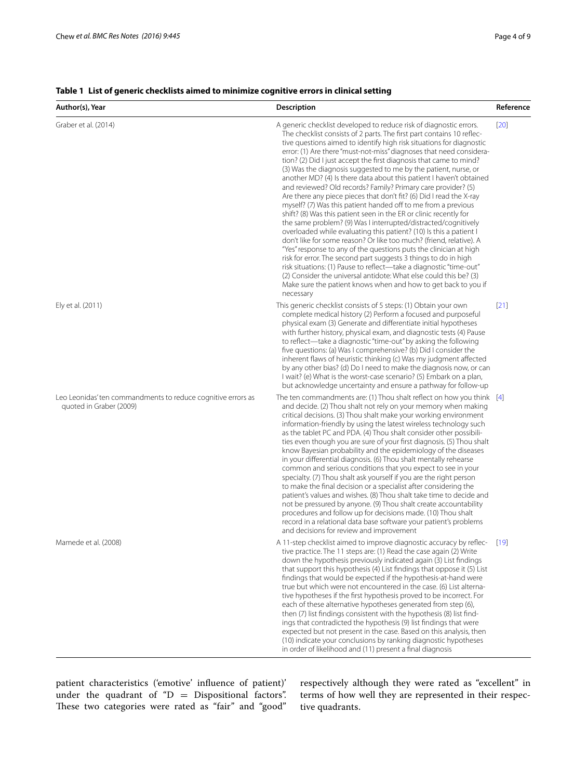| Author(s), Year                                                                         | <b>Description</b>                                                                                                                                                                                                                                                                                                                                                                                                                                                                                                                                                                                                                                                                                                                                                                                                                                                                                                                                                                                                                                                                                                                                                                                                                                                                                                                                                        | Reference |
|-----------------------------------------------------------------------------------------|---------------------------------------------------------------------------------------------------------------------------------------------------------------------------------------------------------------------------------------------------------------------------------------------------------------------------------------------------------------------------------------------------------------------------------------------------------------------------------------------------------------------------------------------------------------------------------------------------------------------------------------------------------------------------------------------------------------------------------------------------------------------------------------------------------------------------------------------------------------------------------------------------------------------------------------------------------------------------------------------------------------------------------------------------------------------------------------------------------------------------------------------------------------------------------------------------------------------------------------------------------------------------------------------------------------------------------------------------------------------------|-----------|
| Graber et al. (2014)                                                                    | A generic checklist developed to reduce risk of diagnostic errors.<br>The checklist consists of 2 parts. The first part contains 10 reflec-<br>tive questions aimed to identify high risk situations for diagnostic<br>error: (1) Are there "must-not-miss" diagnoses that need considera-<br>tion? (2) Did I just accept the first diagnosis that came to mind?<br>(3) Was the diagnosis suggested to me by the patient, nurse, or<br>another MD? (4) Is there data about this patient I haven't obtained<br>and reviewed? Old records? Family? Primary care provider? (5)<br>Are there any piece pieces that don't fit? (6) Did I read the X-ray<br>myself? (7) Was this patient handed off to me from a previous<br>shift? (8) Was this patient seen in the ER or clinic recently for<br>the same problem? (9) Was I interrupted/distracted/cognitively<br>overloaded while evaluating this patient? (10) Is this a patient I<br>don't like for some reason? Or like too much? (friend, relative). A<br>"Yes" response to any of the questions puts the clinician at high<br>risk for error. The second part suggests 3 things to do in high<br>risk situations: (1) Pause to reflect-take a diagnostic "time-out"<br>(2) Consider the universal antidote: What else could this be? (3)<br>Make sure the patient knows when and how to get back to you if<br>necessary | $[20]$    |
| Ely et al. (2011)                                                                       | This generic checklist consists of 5 steps: (1) Obtain your own<br>complete medical history (2) Perform a focused and purposeful<br>physical exam (3) Generate and differentiate initial hypotheses<br>with further history, physical exam, and diagnostic tests (4) Pause<br>to reflect-take a diagnostic "time-out" by asking the following<br>five questions: (a) Was I comprehensive? (b) Did I consider the<br>inherent flaws of heuristic thinking (c) Was my judgment affected<br>by any other bias? (d) Do I need to make the diagnosis now, or can<br>I wait? (e) What is the worst-case scenario? (5) Embark on a plan,<br>but acknowledge uncertainty and ensure a pathway for follow-up                                                                                                                                                                                                                                                                                                                                                                                                                                                                                                                                                                                                                                                                       | $[21]$    |
| Leo Leonidas' ten commandments to reduce cognitive errors as<br>quoted in Graber (2009) | The ten commandments are: (1) Thou shalt reflect on how you think $[4]$<br>and decide. (2) Thou shalt not rely on your memory when making<br>critical decisions. (3) Thou shalt make your working environment<br>information-friendly by using the latest wireless technology such<br>as the tablet PC and PDA. (4) Thou shalt consider other possibili-<br>ties even though you are sure of your first diagnosis. (5) Thou shalt<br>know Bayesian probability and the epidemiology of the diseases<br>in your differential diagnosis. (6) Thou shalt mentally rehearse<br>common and serious conditions that you expect to see in your<br>specialty. (7) Thou shalt ask yourself if you are the right person<br>to make the final decision or a specialist after considering the<br>patient's values and wishes. (8) Thou shalt take time to decide and<br>not be pressured by anyone. (9) Thou shalt create accountability<br>procedures and follow up for decisions made. (10) Thou shalt<br>record in a relational data base software your patient's problems<br>and decisions for review and improvement                                                                                                                                                                                                                                                             |           |
| Mamede et al. (2008)                                                                    | A 11-step checklist aimed to improve diagnostic accuracy by reflec-<br>tive practice. The 11 steps are: (1) Read the case again (2) Write<br>down the hypothesis previously indicated again (3) List findings<br>that support this hypothesis (4) List findings that oppose it (5) List<br>findings that would be expected if the hypothesis-at-hand were<br>true but which were not encountered in the case. (6) List alterna-<br>tive hypotheses if the first hypothesis proved to be incorrect. For<br>each of these alternative hypotheses generated from step (6),<br>then (7) list findings consistent with the hypothesis (8) list find-<br>ings that contradicted the hypothesis (9) list findings that were<br>expected but not present in the case. Based on this analysis, then<br>(10) indicate your conclusions by ranking diagnostic hypotheses<br>in order of likelihood and (11) present a final diagnosis                                                                                                                                                                                                                                                                                                                                                                                                                                                | $[19]$    |

# <span id="page-3-0"></span>**Table 1 List of generic checklists aimed to minimize cognitive errors in clinical setting**

patient characteristics ('emotive' influence of patient)' under the quadrant of " $D =$  Dispositional factors". These two categories were rated as "fair" and "good"

respectively although they were rated as "excellent" in terms of how well they are represented in their respective quadrants.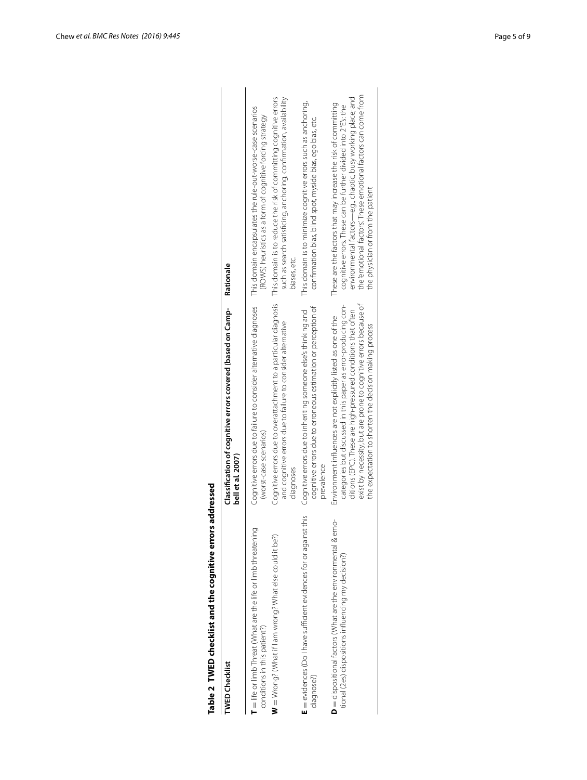| Table 2 TWED checklist and the cognitive error<br><b>TWED Checklist</b>                                                        | Classification of cognitive errors covered (based on Camp-<br>bell et al. 2007)                                                                                                                                                                                                                                                 | Rationale                                                                                                                                                                                                                                                                                             |
|--------------------------------------------------------------------------------------------------------------------------------|---------------------------------------------------------------------------------------------------------------------------------------------------------------------------------------------------------------------------------------------------------------------------------------------------------------------------------|-------------------------------------------------------------------------------------------------------------------------------------------------------------------------------------------------------------------------------------------------------------------------------------------------------|
| $\blacksquare$ life or limb Threat (What are the life or limb threatening<br>conditions in this patient?)                      | Cognitive errors due to failure to consider alternative diagnoses<br>(worst-case scenarios)                                                                                                                                                                                                                                     | This domain encapsulates the rule-out-worse-case scenarios<br>(ROWS) heuristics as a form of cognitive forcing strategy                                                                                                                                                                               |
| $W = W$ rong? (What if I am wrong? What else could it be?)                                                                     | Cognitive errors due to overattachment to a particular diagnosis<br>and cognitive errors due to failure to consider alternative<br>diagnoses                                                                                                                                                                                    | This domain is to reduce the risk of committing cognitive errors<br>such as search satisficing, anchoring, confirmation, availability<br>biases, etc.                                                                                                                                                 |
| this<br>E = evidences (Do I have sufficient evidences for or against<br>diagnose?)                                             | cognitive errors due to erroneous estimation or perception of<br>Cognitive errors due to inheriting someone else's thinking and<br>prevalence                                                                                                                                                                                   | This domain is to minimize cognitive errors such as anchoring,<br>confirmation bias, blind spot, myside bias, ego bias, etc.                                                                                                                                                                          |
| $\mathsf{D}$ = dispositional factors (What are the environmental & emo-<br>tional (2es) dispositions influencing my decision?) | exist by necessity, but are prone to cognitive errors because of<br>categories but discussed in this paper as error-producing con-<br>ditions (EPC). These are high-pressured conditions that often<br>Environment influences are not explicitly listed as one of the<br>the expectation to shorten the decision making process | the emotional factors. These emotional factors can come from<br>environmental factors—e.g., chaotic, busy working place; and<br>These are the factors that may increase the risk of committing<br>cognitive errors. These can be further divided into 2'E's: the<br>the physician or from the patient |
|                                                                                                                                |                                                                                                                                                                                                                                                                                                                                 |                                                                                                                                                                                                                                                                                                       |

# <span id="page-4-0"></span>Table 2 TWED checklist and the cognitive errors addressed<br>TWED Checklist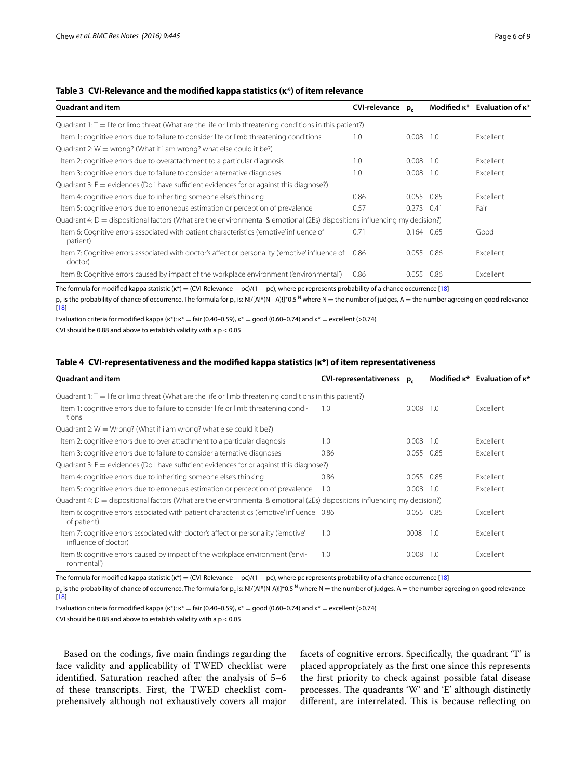# <span id="page-5-0"></span>**Table 3 CVI-Relevance and the modified kappa statistics (κ\*) of item relevance**

| <b>Quadrant and item</b>                                                                                                                          | <b>CVI-relevance</b> | $p_{c}$      |       | Modified $\kappa^*$ Evaluation of $\kappa^*$ |
|---------------------------------------------------------------------------------------------------------------------------------------------------|----------------------|--------------|-------|----------------------------------------------|
| Quadrant 1: $T =$ life or limb threat (What are the life or limb threatening conditions in this patient?)                                         |                      |              |       |                                              |
| Item 1: cognitive errors due to failure to consider life or limb threatening conditions                                                           | 1.0                  | 0.008        | 1.0   | Excellent                                    |
| Quadrant 2: $W =$ wrong? (What if i am wrong? what else could it be?)                                                                             |                      |              |       |                                              |
| Item 2: cognitive errors due to overattachment to a particular diagnosis                                                                          | 1.0                  | 0.008        | - 1.0 | Excellent                                    |
| Item 3: cognitive errors due to failure to consider alternative diagnoses                                                                         | 1.0                  | 0.008        | 1.0   | Excellent                                    |
| Quadrant 3: $E =$ evidences (Do i have sufficient evidences for or against this diagnose?)                                                        |                      |              |       |                                              |
| Item 4: cognitive errors due to inheriting someone else's thinking                                                                                | 0.86                 | 0.055        | 0.85  | <b>Excellent</b>                             |
| Item 5: cognitive errors due to erroneous estimation or perception of prevalence                                                                  | 0.57                 | $0.273$ 0.41 |       | Fair                                         |
| Quadrant 4: $D =$ dispositional factors (What are the environmental & emotional (2Es) dispositions influencing my decision?)                      |                      |              |       |                                              |
| Item 6: Cognitive errors associated with patient characteristics ('emotive' influence of<br>patient)                                              | 0.71                 | 0.164 0.65   |       | Good                                         |
| Item 7: Cognitive errors associated with doctor's affect or personality ('emotive' influence of<br>doctor)                                        | 0.86                 | 0.055        | 0.86  | Excellent                                    |
| Item 8: Cognitive errors caused by impact of the workplace environment ('environmental')                                                          | 0.86                 | 0.055        | 0.86  | <b>Excellent</b>                             |
| The Cenneda Council Coullence statistic (A) = (CUI Belongers = and U1 = and calculation conservational distribution of a shorter secondary [10] = |                      |              |       |                                              |

The formula for modified kappa statistic ( $\kappa^*$ ) = (CVI-Relevance – pc)/(1 – pc), where pc represents probability of a chance occurrence [[18\]](#page-8-4)

p<sub>c</sub> is the probability of chance of occurrence. The formula for p<sub>r</sub> is: N!/[A!\*(N−A)!]\*0.5<sup>N</sup> where N = the number of judges, A = the number agreeing on good relevance [[18\]](#page-8-4)

Evaluation criteria for modified kappa (κ\*): κ\* = fair (0.40–0.59), κ\* = good (0.60–0.74) and κ\* = excellent (>0.74)

CVI should be 0.88 and above to establish validity with a p < 0.05

#### <span id="page-5-1"></span>**Table 4 CVI-representativeness and the modified kappa statistics (κ\*) of item representativeness**

| <b>Quadrant and item</b>                                                                                                     | CVI-representativeness p. |            |     | Modified $\kappa^*$ Evaluation of $\kappa^*$ |
|------------------------------------------------------------------------------------------------------------------------------|---------------------------|------------|-----|----------------------------------------------|
| Quadrant 1: $T =$ life or limb threat (What are the life or limb threatening conditions in this patient?)                    |                           |            |     |                                              |
| Item 1: cognitive errors due to failure to consider life or limb threatening condi-<br>tions                                 | 1.0                       | 0.008      | 1.0 | Excellent                                    |
| Quadrant 2: $W = Wronq$ ? (What if i am wrong? what else could it be?)                                                       |                           |            |     |                                              |
| Item 2: cognitive errors due to over attachment to a particular diagnosis                                                    | 1.0                       | 0.008      | 1.0 | Excellent                                    |
| Item 3: cognitive errors due to failure to consider alternative diagnoses                                                    | 0.86                      | 0.055 0.85 |     | Excellent                                    |
| Quadrant 3: $E =$ evidences (Do I have sufficient evidences for or against this diagnose?)                                   |                           |            |     |                                              |
| Item 4: cognitive errors due to inheriting someone else's thinking                                                           | 0.86                      | 0.055 0.85 |     | Excellent                                    |
| Item 5: cognitive errors due to erroneous estimation or perception of prevalence                                             | 1.0                       | 0.008      | 1.0 | Excellent                                    |
| Quadrant 4: $D =$ dispositional factors (What are the environmental & emotional (2Es) dispositions influencing my decision?) |                           |            |     |                                              |
| Item 6: cognitive errors associated with patient characteristics ('emotive' influence 0.86<br>of patient)                    |                           | 0.055 0.85 |     | Excellent                                    |
| Item 7: cognitive errors associated with doctor's affect or personality ('emotive'<br>influence of doctor)                   | 1.0                       | 0008       | 1.0 | Excellent                                    |
| Item 8: cognitive errors caused by impact of the workplace environment ('envi-<br>ronmental')                                | 1.0                       | 0.008      | 1.0 | Excellent                                    |

The formula for modified kappa statistic (κ\*) = (CVI-Relevance – pc)/(1 – pc), where pc represents probability of a chance occurrence [[18\]](#page-8-4)

 $p_c$  is the probability of chance of occurrence. The formula for  $p_c$  is: N!/[A!\*(N-A)!]\*0.5 N where N = the number of judges, A = the number agreeing on good relevance [[18\]](#page-8-4)

Evaluation criteria for modified kappa (κ\*):  $k^*$  = fair (0.40–0.59),  $k^*$  = good (0.60–0.74) and  $k^*$  = excellent (>0.74)

CVI should be 0.88 and above to establish validity with a  $p < 0.05$ 

Based on the codings, five main findings regarding the face validity and applicability of TWED checklist were identified. Saturation reached after the analysis of 5–6 of these transcripts. First, the TWED checklist comprehensively although not exhaustively covers all major facets of cognitive errors. Specifically, the quadrant 'T' is placed appropriately as the first one since this represents the first priority to check against possible fatal disease processes. The quadrants 'W' and 'E' although distinctly different, are interrelated. This is because reflecting on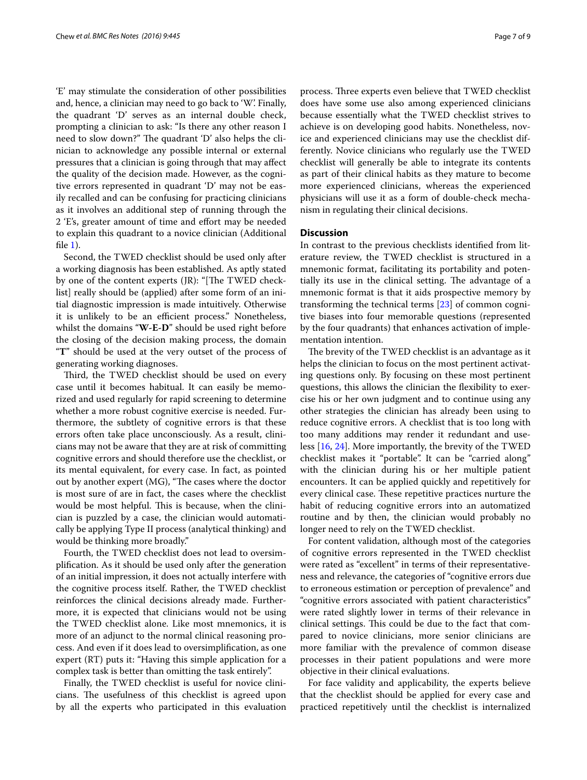'E' may stimulate the consideration of other possibilities and, hence, a clinician may need to go back to 'W'. Finally, the quadrant 'D' serves as an internal double check, prompting a clinician to ask: "Is there any other reason I need to slow down?" The quadrant 'D' also helps the clinician to acknowledge any possible internal or external pressures that a clinician is going through that may affect the quality of the decision made. However, as the cognitive errors represented in quadrant 'D' may not be easily recalled and can be confusing for practicing clinicians as it involves an additional step of running through the 2 'E's, greater amount of time and effort may be needed to explain this quadrant to a novice clinician (Additional file  $1$ ).

Second, the TWED checklist should be used only after a working diagnosis has been established. As aptly stated by one of the content experts (JR): "[The TWED checklist] really should be (applied) after some form of an initial diagnostic impression is made intuitively. Otherwise it is unlikely to be an efficient process." Nonetheless, whilst the domains "**W-E-D**" should be used right before the closing of the decision making process, the domain "**T**" should be used at the very outset of the process of generating working diagnoses.

Third, the TWED checklist should be used on every case until it becomes habitual. It can easily be memorized and used regularly for rapid screening to determine whether a more robust cognitive exercise is needed. Furthermore, the subtlety of cognitive errors is that these errors often take place unconsciously. As a result, clinicians may not be aware that they are at risk of committing cognitive errors and should therefore use the checklist, or its mental equivalent, for every case. In fact, as pointed out by another expert (MG), "The cases where the doctor is most sure of are in fact, the cases where the checklist would be most helpful. This is because, when the clinician is puzzled by a case, the clinician would automatically be applying Type II process (analytical thinking) and would be thinking more broadly."

Fourth, the TWED checklist does not lead to oversimplification. As it should be used only after the generation of an initial impression, it does not actually interfere with the cognitive process itself. Rather, the TWED checklist reinforces the clinical decisions already made. Furthermore, it is expected that clinicians would not be using the TWED checklist alone. Like most mnemonics, it is more of an adjunct to the normal clinical reasoning process. And even if it does lead to oversimplification, as one expert (RT) puts it: "Having this simple application for a complex task is better than omitting the task entirely".

Finally, the TWED checklist is useful for novice clinicians. The usefulness of this checklist is agreed upon by all the experts who participated in this evaluation process. Three experts even believe that TWED checklist

does have some use also among experienced clinicians because essentially what the TWED checklist strives to achieve is on developing good habits. Nonetheless, novice and experienced clinicians may use the checklist differently. Novice clinicians who regularly use the TWED checklist will generally be able to integrate its contents as part of their clinical habits as they mature to become more experienced clinicians, whereas the experienced physicians will use it as a form of double-check mechanism in regulating their clinical decisions.

#### **Discussion**

In contrast to the previous checklists identified from literature review, the TWED checklist is structured in a mnemonic format, facilitating its portability and potentially its use in the clinical setting. The advantage of a mnemonic format is that it aids prospective memory by transforming the technical terms [\[23](#page-8-8)] of common cognitive biases into four memorable questions (represented by the four quadrants) that enhances activation of implementation intention.

The brevity of the TWED checklist is an advantage as it helps the clinician to focus on the most pertinent activating questions only. By focusing on these most pertinent questions, this allows the clinician the flexibility to exercise his or her own judgment and to continue using any other strategies the clinician has already been using to reduce cognitive errors. A checklist that is too long with too many additions may render it redundant and useless [\[16](#page-8-1), [24\]](#page-8-9). More importantly, the brevity of the TWED checklist makes it "portable". It can be "carried along" with the clinician during his or her multiple patient encounters. It can be applied quickly and repetitively for every clinical case. These repetitive practices nurture the habit of reducing cognitive errors into an automatized routine and by then, the clinician would probably no longer need to rely on the TWED checklist.

For content validation, although most of the categories of cognitive errors represented in the TWED checklist were rated as "excellent" in terms of their representativeness and relevance, the categories of "cognitive errors due to erroneous estimation or perception of prevalence" and "cognitive errors associated with patient characteristics" were rated slightly lower in terms of their relevance in clinical settings. This could be due to the fact that compared to novice clinicians, more senior clinicians are more familiar with the prevalence of common disease processes in their patient populations and were more objective in their clinical evaluations.

For face validity and applicability, the experts believe that the checklist should be applied for every case and practiced repetitively until the checklist is internalized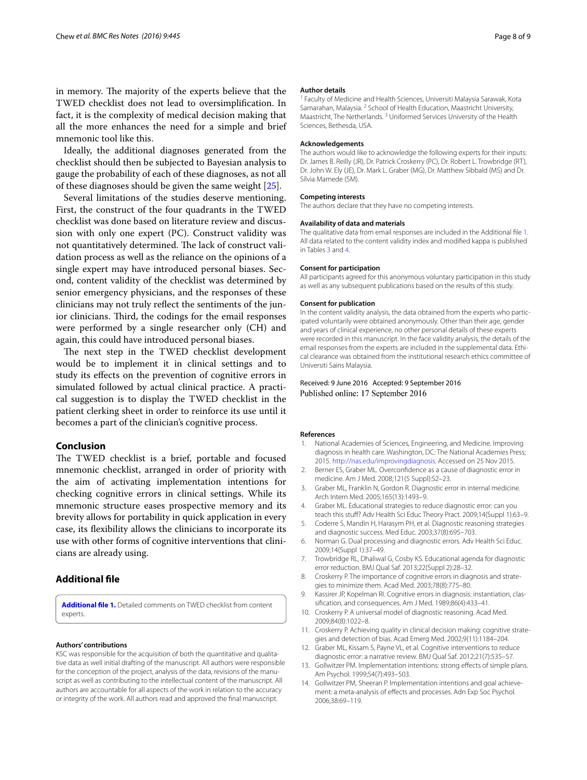in memory. The majority of the experts believe that the TWED checklist does not lead to oversimplification. In fact, it is the complexity of medical decision making that all the more enhances the need for a simple and brief mnemonic tool like this.

Ideally, the additional diagnoses generated from the checklist should then be subjected to Bayesian analysis to gauge the probability of each of these diagnoses, as not all of these diagnoses should be given the same weight [[25](#page-8-10)].

Several limitations of the studies deserve mentioning. First, the construct of the four quadrants in the TWED checklist was done based on literature review and discussion with only one expert (PC). Construct validity was not quantitatively determined. The lack of construct validation process as well as the reliance on the opinions of a single expert may have introduced personal biases. Second, content validity of the checklist was determined by senior emergency physicians, and the responses of these clinicians may not truly reflect the sentiments of the junior clinicians. Third, the codings for the email responses were performed by a single researcher only (CH) and again, this could have introduced personal biases.

The next step in the TWED checklist development would be to implement it in clinical settings and to study its effects on the prevention of cognitive errors in simulated followed by actual clinical practice. A practical suggestion is to display the TWED checklist in the patient clerking sheet in order to reinforce its use until it becomes a part of the clinician's cognitive process.

# **Conclusion**

The TWED checklist is a brief, portable and focused mnemonic checklist, arranged in order of priority with the aim of activating implementation intentions for checking cognitive errors in clinical settings. While its mnemonic structure eases prospective memory and its brevity allows for portability in quick application in every case, its flexibility allows the clinicians to incorporate its use with other forms of cognitive interventions that clinicians are already using.

### **Additional file**

<span id="page-7-13"></span>**[Additional file 1.](http://dx.doi.org/10.1186/s13104-016-2249-2)** Detailed comments on TWED checklist from content experts.

#### **Authors' contributions**

KSC was responsible for the acquisition of both the quantitative and qualitative data as well initial drafting of the manuscript. All authors were responsible for the conception of the project, analysis of the data, revisions of the manuscript as well as contributing to the intellectual content of the manuscript. All authors are accountable for all aspects of the work in relation to the accuracy or integrity of the work. All authors read and approved the final manuscript.

#### **Author details**

<sup>1</sup> Faculty of Medicine and Health Sciences, Universiti Malaysia Sarawak, Kota Samarahan, Malaysia. <sup>2</sup> School of Health Education, Maastricht University, Maastricht, The Netherlands. 3 Uniformed Services University of the Health Sciences, Bethesda, USA.

#### **Acknowledgements**

The authors would like to acknowledge the following experts for their inputs: Dr. James B. Reilly (JR), Dr. Patrick Croskerry (PC), Dr. Robert L. Trowbridge (RT), Dr. John W. Ely (JE), Dr. Mark L. Graber (MG), Dr. Matthew Sibbald (MS) and Dr. Sílvia Mamede (SM).

#### **Competing interests**

The authors declare that they have no competing interests.

#### **Availability of data and materials**

The qualitative data from email responses are included in the Additional file [1.](#page-7-13) All data related to the content validity index and modified kappa is published in Tables [3](#page-5-0) and [4.](#page-5-1)

#### **Consent for participation**

All participants agreed for this anonymous voluntary participation in this study as well as any subsequent publications based on the results of this study.

#### **Consent for publication**

In the content validity analysis, the data obtained from the experts who participated voluntarily were obtained anonymously. Other than their age, gender and years of clinical experience, no other personal details of these experts were recorded in this manuscript. In the face validity analysis, the details of the email responses from the experts are included in the supplemental data. Ethical clearance was obtained from the institutional research ethics committee of Universiti Sains Malaysia.

#### Received: 9 June 2016 Accepted: 9 September 2016 Published online: 17 September 2016

#### **References**

- <span id="page-7-0"></span>1. National Academies of Sciences, Engineering, and Medicine. Improving diagnosis in health care. Washington, DC: The National Academies Press; 2015. [http://nas.edu/improvingdiagnosis.](http://nas.edu/improvingdiagnosis) Accessed on 25 Nov 2015.
- <span id="page-7-1"></span>2. Berner ES, Graber ML. Overconfidence as a cause of diagnostic error in medicine. Am J Med. 2008;121(5 Suppl):S2–23.
- <span id="page-7-2"></span>3. Graber ML, Franklin N, Gordon R. Diagnostic error in internal medicine. Arch Intern Med. 2005;165(13):1493–9.
- <span id="page-7-3"></span>4. Graber ML. Educational strategies to reduce diagnostic error: can you teach this stuff? Adv Health Sci Educ Theory Pract. 2009;14(Suppl 1):63–9.
- <span id="page-7-4"></span>5. Coderre S, Mandin H, Harasym PH, et al. Diagnostic reasoning strategies and diagnostic success. Med Educ. 2003;37(8):695–703.
- 6. Norman G. Dual processing and diagnostic errors. Adv Health Sci Educ. 2009;14(Suppl 1):37–49.
- <span id="page-7-5"></span>7. Trowbridge RL, Dhaliwal G, Cosby KS. Educational agenda for diagnostic error reduction. BMJ Qual Saf. 2013;22(Suppl 2):28–32.
- <span id="page-7-6"></span>8. Croskerry P. The importance of cognitive errors in diagnosis and strategies to minimize them. Acad Med. 2003;78(8):775–80.
- <span id="page-7-7"></span>9. Kassirer JP, Kopelman RI. Cognitive errors in diagnosis: instantiation, classification, and consequences. Am J Med. 1989;86(4):433–41.
- <span id="page-7-8"></span>10. Croskerry P. A universal model of diagnostic reasoning. Acad Med. 2009;84(8):1022–8.
- <span id="page-7-9"></span>11. Croskerry P. Achieving quality in clinical decision making: cognitive strategies and detection of bias. Acad Emerg Med. 2002;9(11):1184–204.
- <span id="page-7-10"></span>12. Graber ML, Kissam S, Payne VL, et al. Cognitive interventions to reduce diagnostic error: a narrative review. BMJ Qual Saf. 2012;21(7):535–57.
- <span id="page-7-11"></span>13. Gollwitzer PM. Implementation intentions: strong effects of simple plans. Am Psychol. 1999;54(7):493–503.
- <span id="page-7-12"></span>14. Gollwitzer PM, Sheeran P. Implementation intentions and goal achievement: a meta-analysis of effects and processes. Adn Exp Soc Psychol. 2006;38:69–119.